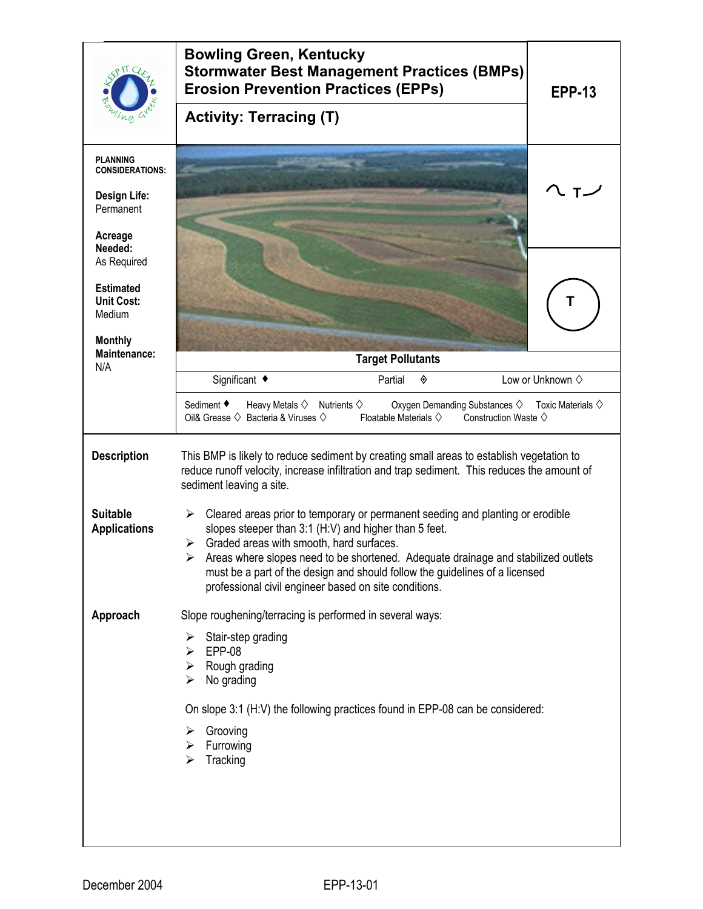|                                                 | <b>Bowling Green, Kentucky</b><br><b>Stormwater Best Management Practices (BMPs)</b><br><b>Erosion Prevention Practices (EPPs)</b><br><b>EPP-13</b>                                                                                                                                                                                                                                                                                    |  |  |
|-------------------------------------------------|----------------------------------------------------------------------------------------------------------------------------------------------------------------------------------------------------------------------------------------------------------------------------------------------------------------------------------------------------------------------------------------------------------------------------------------|--|--|
|                                                 | <b>Activity: Terracing (T)</b>                                                                                                                                                                                                                                                                                                                                                                                                         |  |  |
| <b>PLANNING</b><br><b>CONSIDERATIONS:</b>       |                                                                                                                                                                                                                                                                                                                                                                                                                                        |  |  |
| Design Life:<br>Permanent                       |                                                                                                                                                                                                                                                                                                                                                                                                                                        |  |  |
| Acreage<br>Needed:<br>As Required               |                                                                                                                                                                                                                                                                                                                                                                                                                                        |  |  |
| <b>Estimated</b><br><b>Unit Cost:</b><br>Medium |                                                                                                                                                                                                                                                                                                                                                                                                                                        |  |  |
| <b>Monthly</b><br><b>Maintenance:</b>           | <b>Target Pollutants</b>                                                                                                                                                                                                                                                                                                                                                                                                               |  |  |
| N/A                                             | Significant ◆<br>Low or Unknown $\diamond$<br>Partial<br>◈                                                                                                                                                                                                                                                                                                                                                                             |  |  |
|                                                 | Sediment ♦<br>Heavy Metals $\diamond$ Nutrients $\diamond$<br>Oxygen Demanding Substances $\diamond$ Toxic Materials $\diamond$<br>Oil& Grease $\diamondsuit$ Bacteria & Viruses $\diamondsuit$<br>Floatable Materials $\diamondsuit$<br>Construction Waste $\diamondsuit$                                                                                                                                                             |  |  |
| <b>Description</b>                              | This BMP is likely to reduce sediment by creating small areas to establish vegetation to<br>reduce runoff velocity, increase infiltration and trap sediment. This reduces the amount of<br>sediment leaving a site.                                                                                                                                                                                                                    |  |  |
| <b>Suitable</b><br><b>Applications</b>          | Cleared areas prior to temporary or permanent seeding and planting or erodible<br>➤<br>slopes steeper than 3:1 (H:V) and higher than 5 feet.<br>$\triangleright$ Graded areas with smooth, hard surfaces.<br>Areas where slopes need to be shortened. Adequate drainage and stabilized outlets<br>must be a part of the design and should follow the guidelines of a licensed<br>professional civil engineer based on site conditions. |  |  |
| Approach                                        | Slope roughening/terracing is performed in several ways:                                                                                                                                                                                                                                                                                                                                                                               |  |  |
|                                                 | Stair-step grading<br>➤<br><b>EPP-08</b><br>⋗<br>Rough grading<br>➤<br>No grading<br>➤                                                                                                                                                                                                                                                                                                                                                 |  |  |
|                                                 | On slope 3:1 (H:V) the following practices found in EPP-08 can be considered:                                                                                                                                                                                                                                                                                                                                                          |  |  |
|                                                 | Grooving<br>Furrowing<br>➤<br>Tracking<br>⋗                                                                                                                                                                                                                                                                                                                                                                                            |  |  |
|                                                 |                                                                                                                                                                                                                                                                                                                                                                                                                                        |  |  |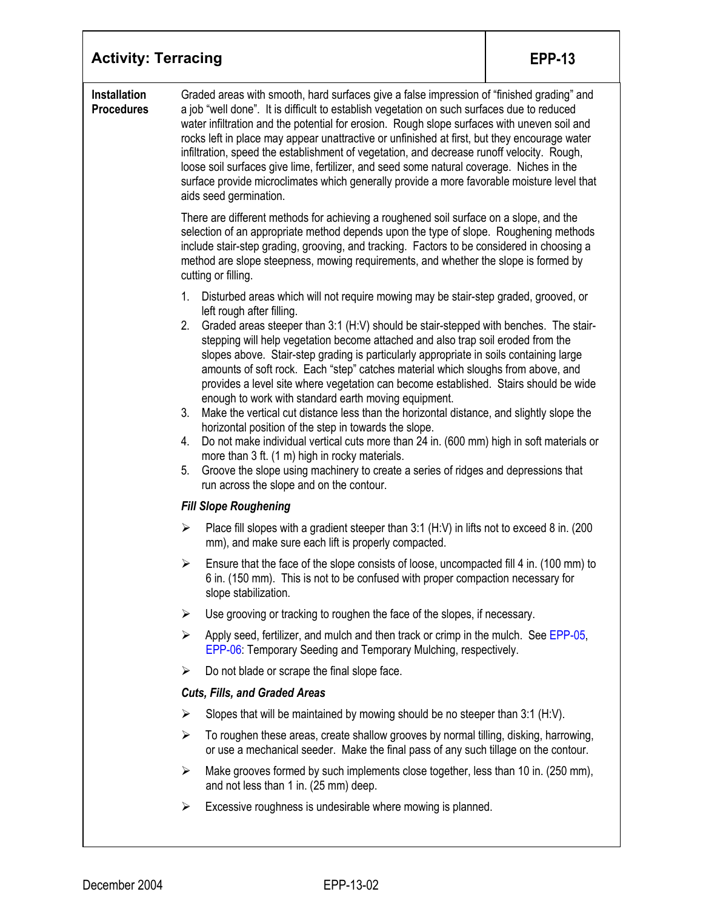| <b>Activity: Terracing</b>               | <b>EPP-13</b>                                                                                                                                                                                                                                                                                                                                                                                                                                                                                                                                                                                                                                                                                                                                                                                                                                                                                                                                                                                                                                                                                 |  |  |  |
|------------------------------------------|-----------------------------------------------------------------------------------------------------------------------------------------------------------------------------------------------------------------------------------------------------------------------------------------------------------------------------------------------------------------------------------------------------------------------------------------------------------------------------------------------------------------------------------------------------------------------------------------------------------------------------------------------------------------------------------------------------------------------------------------------------------------------------------------------------------------------------------------------------------------------------------------------------------------------------------------------------------------------------------------------------------------------------------------------------------------------------------------------|--|--|--|
| <b>Installation</b><br><b>Procedures</b> | Graded areas with smooth, hard surfaces give a false impression of "finished grading" and<br>a job "well done". It is difficult to establish vegetation on such surfaces due to reduced<br>water infiltration and the potential for erosion. Rough slope surfaces with uneven soil and<br>rocks left in place may appear unattractive or unfinished at first, but they encourage water<br>infiltration, speed the establishment of vegetation, and decrease runoff velocity. Rough,<br>loose soil surfaces give lime, fertilizer, and seed some natural coverage. Niches in the<br>surface provide microclimates which generally provide a more favorable moisture level that<br>aids seed germination.                                                                                                                                                                                                                                                                                                                                                                                       |  |  |  |
|                                          | There are different methods for achieving a roughened soil surface on a slope, and the<br>selection of an appropriate method depends upon the type of slope. Roughening methods<br>include stair-step grading, grooving, and tracking. Factors to be considered in choosing a<br>method are slope steepness, mowing requirements, and whether the slope is formed by<br>cutting or filling.                                                                                                                                                                                                                                                                                                                                                                                                                                                                                                                                                                                                                                                                                                   |  |  |  |
|                                          | Disturbed areas which will not require mowing may be stair-step graded, grooved, or<br>1.<br>left rough after filling.<br>2.<br>Graded areas steeper than 3:1 (H:V) should be stair-stepped with benches. The stair-<br>stepping will help vegetation become attached and also trap soil eroded from the<br>slopes above. Stair-step grading is particularly appropriate in soils containing large<br>amounts of soft rock. Each "step" catches material which sloughs from above, and<br>provides a level site where vegetation can become established. Stairs should be wide<br>enough to work with standard earth moving equipment.<br>3.<br>Make the vertical cut distance less than the horizontal distance, and slightly slope the<br>horizontal position of the step in towards the slope.<br>Do not make individual vertical cuts more than 24 in. (600 mm) high in soft materials or<br>4.<br>more than 3 ft. (1 m) high in rocky materials.<br>Groove the slope using machinery to create a series of ridges and depressions that<br>5.<br>run across the slope and on the contour. |  |  |  |
|                                          | <b>Fill Slope Roughening</b>                                                                                                                                                                                                                                                                                                                                                                                                                                                                                                                                                                                                                                                                                                                                                                                                                                                                                                                                                                                                                                                                  |  |  |  |
|                                          | Place fill slopes with a gradient steeper than 3:1 (H:V) in lifts not to exceed 8 in. (200<br>➤<br>mm), and make sure each lift is properly compacted.                                                                                                                                                                                                                                                                                                                                                                                                                                                                                                                                                                                                                                                                                                                                                                                                                                                                                                                                        |  |  |  |
|                                          | Ensure that the face of the slope consists of loose, uncompacted fill 4 in. (100 mm) to<br>≻<br>6 in. (150 mm). This is not to be confused with proper compaction necessary for<br>slope stabilization.                                                                                                                                                                                                                                                                                                                                                                                                                                                                                                                                                                                                                                                                                                                                                                                                                                                                                       |  |  |  |
|                                          | $\blacktriangleright$<br>Use grooving or tracking to roughen the face of the slopes, if necessary.                                                                                                                                                                                                                                                                                                                                                                                                                                                                                                                                                                                                                                                                                                                                                                                                                                                                                                                                                                                            |  |  |  |
|                                          | $\blacktriangleright$<br>Apply seed, fertilizer, and mulch and then track or crimp in the mulch. See EPP-05,<br>EPP-06: Temporary Seeding and Temporary Mulching, respectively.                                                                                                                                                                                                                                                                                                                                                                                                                                                                                                                                                                                                                                                                                                                                                                                                                                                                                                               |  |  |  |
|                                          | Do not blade or scrape the final slope face.<br>➤                                                                                                                                                                                                                                                                                                                                                                                                                                                                                                                                                                                                                                                                                                                                                                                                                                                                                                                                                                                                                                             |  |  |  |
|                                          | <b>Cuts, Fills, and Graded Areas</b>                                                                                                                                                                                                                                                                                                                                                                                                                                                                                                                                                                                                                                                                                                                                                                                                                                                                                                                                                                                                                                                          |  |  |  |
|                                          | Slopes that will be maintained by mowing should be no steeper than 3:1 (H:V).<br>➤                                                                                                                                                                                                                                                                                                                                                                                                                                                                                                                                                                                                                                                                                                                                                                                                                                                                                                                                                                                                            |  |  |  |
|                                          | To roughen these areas, create shallow grooves by normal tilling, disking, harrowing,<br>➤<br>or use a mechanical seeder. Make the final pass of any such tillage on the contour.                                                                                                                                                                                                                                                                                                                                                                                                                                                                                                                                                                                                                                                                                                                                                                                                                                                                                                             |  |  |  |
|                                          | Make grooves formed by such implements close together, less than 10 in. (250 mm),<br>≻<br>and not less than 1 in. (25 mm) deep.                                                                                                                                                                                                                                                                                                                                                                                                                                                                                                                                                                                                                                                                                                                                                                                                                                                                                                                                                               |  |  |  |
|                                          | Excessive roughness is undesirable where mowing is planned.<br>➤                                                                                                                                                                                                                                                                                                                                                                                                                                                                                                                                                                                                                                                                                                                                                                                                                                                                                                                                                                                                                              |  |  |  |

T

 $\overline{\phantom{a}}$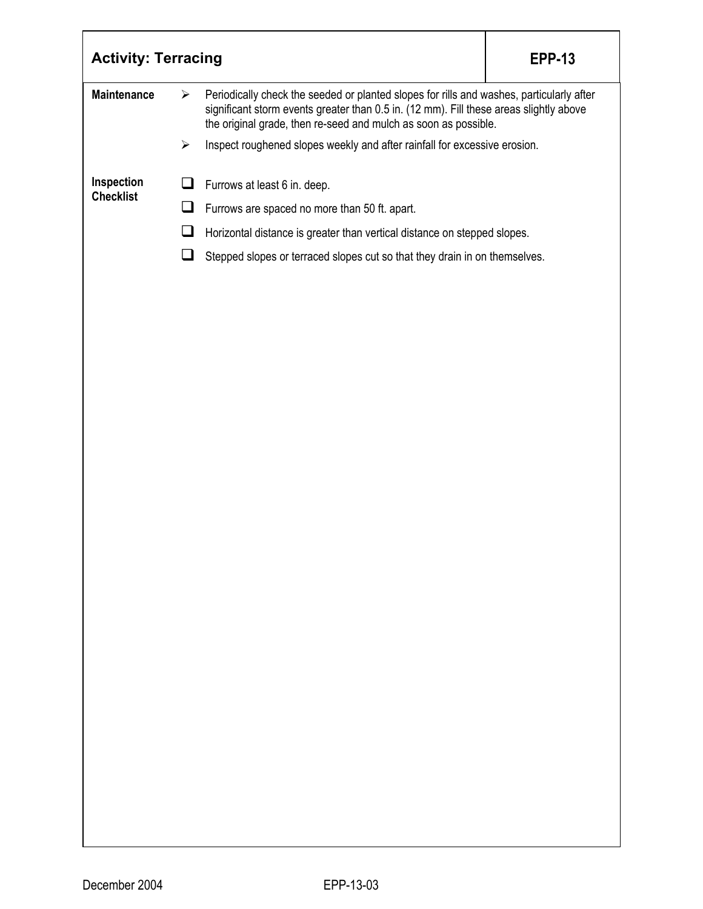| <b>Activity: Terracing</b> |                       |                                                                                                                                                                                                                                                       | <b>EPP-13</b> |
|----------------------------|-----------------------|-------------------------------------------------------------------------------------------------------------------------------------------------------------------------------------------------------------------------------------------------------|---------------|
| <b>Maintenance</b>         | $\blacktriangleright$ | Periodically check the seeded or planted slopes for rills and washes, particularly after<br>significant storm events greater than 0.5 in. (12 mm). Fill these areas slightly above<br>the original grade, then re-seed and mulch as soon as possible. |               |
|                            | $\blacktriangleright$ | Inspect roughened slopes weekly and after rainfall for excessive erosion.                                                                                                                                                                             |               |
| Inspection                 | ப                     | Furrows at least 6 in. deep.                                                                                                                                                                                                                          |               |
| <b>Checklist</b>           | $\Box$                | Furrows are spaced no more than 50 ft. apart.                                                                                                                                                                                                         |               |
|                            | ⊔                     | Horizontal distance is greater than vertical distance on stepped slopes.                                                                                                                                                                              |               |
|                            | $\square$             | Stepped slopes or terraced slopes cut so that they drain in on themselves.                                                                                                                                                                            |               |
|                            |                       |                                                                                                                                                                                                                                                       |               |
|                            |                       |                                                                                                                                                                                                                                                       |               |
|                            |                       |                                                                                                                                                                                                                                                       |               |
|                            |                       |                                                                                                                                                                                                                                                       |               |
|                            |                       |                                                                                                                                                                                                                                                       |               |
|                            |                       |                                                                                                                                                                                                                                                       |               |
|                            |                       |                                                                                                                                                                                                                                                       |               |
|                            |                       |                                                                                                                                                                                                                                                       |               |
|                            |                       |                                                                                                                                                                                                                                                       |               |
|                            |                       |                                                                                                                                                                                                                                                       |               |
|                            |                       |                                                                                                                                                                                                                                                       |               |
|                            |                       |                                                                                                                                                                                                                                                       |               |
|                            |                       |                                                                                                                                                                                                                                                       |               |
|                            |                       |                                                                                                                                                                                                                                                       |               |
|                            |                       |                                                                                                                                                                                                                                                       |               |
|                            |                       |                                                                                                                                                                                                                                                       |               |
|                            |                       |                                                                                                                                                                                                                                                       |               |
|                            |                       |                                                                                                                                                                                                                                                       |               |
|                            |                       |                                                                                                                                                                                                                                                       |               |
|                            |                       |                                                                                                                                                                                                                                                       |               |
|                            |                       |                                                                                                                                                                                                                                                       |               |
|                            |                       |                                                                                                                                                                                                                                                       |               |
|                            |                       |                                                                                                                                                                                                                                                       |               |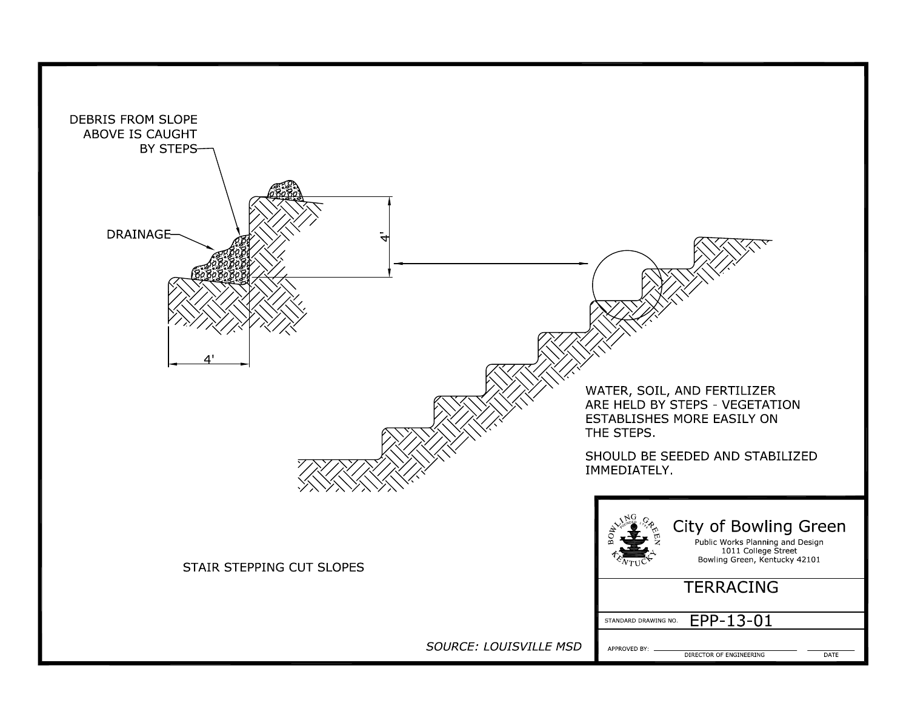